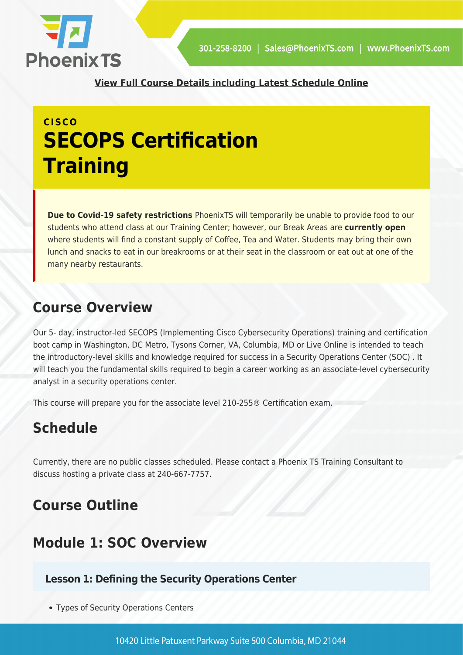

**[View Full Course Details including Latest Schedule Online](https://phoenixts.com/training-courses/implementing-cisco-cybersecurity-operations-secops-certification-training/)**

## **CISCO SECOPS Certification Training**

**Due to Covid-19 safety restrictions** PhoenixTS will temporarily be unable to provide food to our students who attend class at our Training Center; however, our Break Areas are **currently open** where students will find a constant supply of Coffee, Tea and Water. Students may bring their own lunch and snacks to eat in our breakrooms or at their seat in the classroom or eat out at one of the many nearby restaurants.

### **Course Overview**

Our 5- day, instructor-led SECOPS (Implementing Cisco Cybersecurity Operations) training and certification boot camp in Washington, DC Metro, Tysons Corner, VA, Columbia, MD or Live Online is intended to teach the introductory-level skills and knowledge required for success in a Security Operations Center (SOC) . It will teach you the fundamental skills required to begin a career working as an associate-level cybersecurity analyst in a security operations center.

This course will prepare you for the associate level 210-255® Certification exam.

### **Schedule**

Currently, there are no public classes scheduled. Please contact a Phoenix TS Training Consultant to discuss hosting a private class at 240-667-7757.

### **Course Outline**

### **Module 1: SOC Overview**

#### **Lesson 1: Defining the Security Operations Center**

Types of Security Operations Centers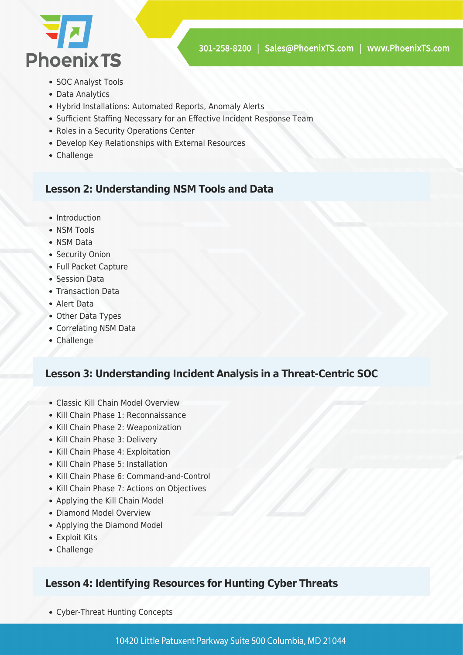

- SOC Analyst Tools
- Data Analytics
- Hybrid Installations: Automated Reports, Anomaly Alerts
- Sufficient Staffing Necessary for an Effective Incident Response Team
- Roles in a Security Operations Center
- Develop Key Relationships with External Resources
- Challenge

#### **Lesson 2: Understanding NSM Tools and Data**

- Introduction
- NSM Tools
- NSM Data
- Security Onion
- Full Packet Capture
- Session Data
- Transaction Data
- Alert Data
- Other Data Types
- Correlating NSM Data
- Challenge

#### **Lesson 3: Understanding Incident Analysis in a Threat-Centric SOC**

- Classic Kill Chain Model Overview
- Kill Chain Phase 1: Reconnaissance
- Kill Chain Phase 2: Weaponization
- Kill Chain Phase 3: Delivery
- Kill Chain Phase 4: Exploitation
- Kill Chain Phase 5: Installation
- Kill Chain Phase 6: Command-and-Control
- Kill Chain Phase 7: Actions on Objectives
- Applying the Kill Chain Model
- Diamond Model Overview
- Applying the Diamond Model
- Exploit Kits
- Challenge

#### **Lesson 4: Identifying Resources for Hunting Cyber Threats**

Cyber-Threat Hunting Concepts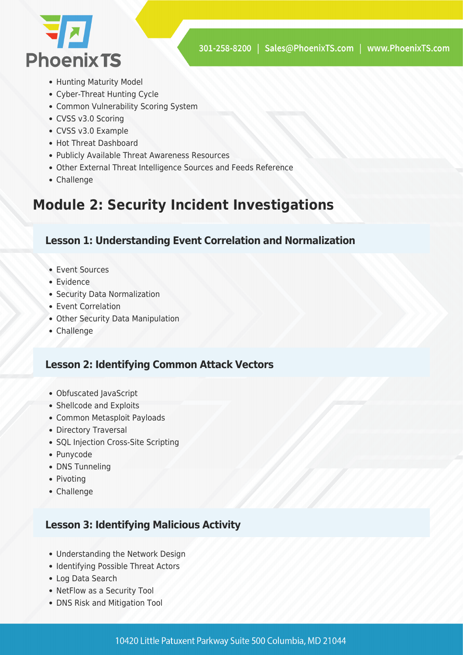

- Hunting Maturity Model
- Cyber-Threat Hunting Cycle
- Common Vulnerability Scoring System
- CVSS v3.0 Scoring
- CVSS v3.0 Example
- Hot Threat Dashboard
- Publicly Available Threat Awareness Resources
- Other External Threat Intelligence Sources and Feeds Reference
- Challenge

### **Module 2: Security Incident Investigations**

#### **Lesson 1: Understanding Event Correlation and Normalization**

- Event Sources
- Evidence
- Security Data Normalization
- Event Correlation
- Other Security Data Manipulation
- Challenge

#### **Lesson 2: Identifying Common Attack Vectors**

- Obfuscated JavaScript
- Shellcode and Exploits
- Common Metasploit Payloads
- Directory Traversal
- SQL Injection Cross-Site Scripting
- Punycode
- DNS Tunneling
- Pivoting
- Challenge

#### **Lesson 3: Identifying Malicious Activity**

- Understanding the Network Design
- Identifying Possible Threat Actors
- Log Data Search
- NetFlow as a Security Tool
- DNS Risk and Mitigation Tool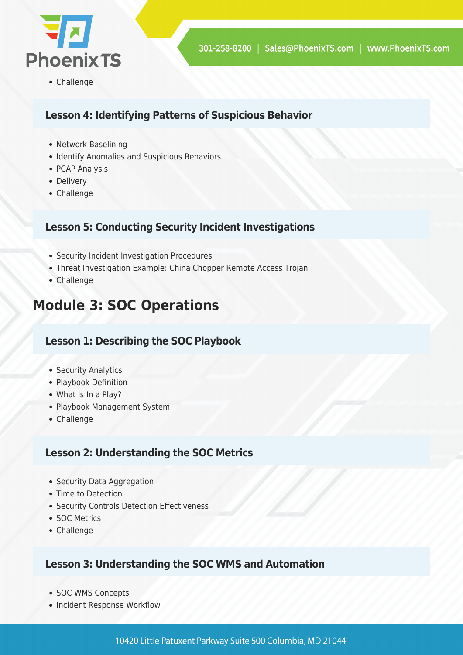

Challenge

#### **Lesson 4: Identifying Patterns of Suspicious Behavior**

- Network Baselining
- Identify Anomalies and Suspicious Behaviors
- PCAP Analysis
- Delivery
- Challenge

#### **Lesson 5: Conducting Security Incident Investigations**

- Security Incident Investigation Procedures
- Threat Investigation Example: China Chopper Remote Access Trojan
- Challenge

### **Module 3: SOC Operations**

#### **Lesson 1: Describing the SOC Playbook**

- Security Analytics
- Playbook Definition
- What Is In a Play?
- Playbook Management System
- Challenge

#### **Lesson 2: Understanding the SOC Metrics**

- Security Data Aggregation
- Time to Detection
- Security Controls Detection Effectiveness
- SOC Metrics
- Challenge

#### **Lesson 3: Understanding the SOC WMS and Automation**

- SOC WMS Concepts
- Incident Response Workflow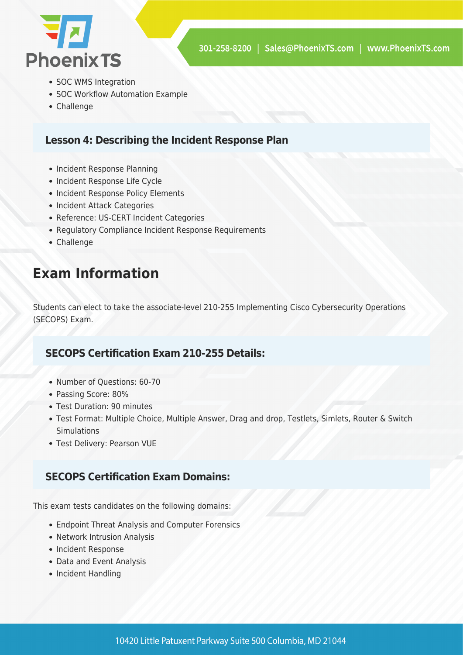

- SOC WMS Integration
- SOC Workflow Automation Example
- Challenge

#### **Lesson 4: Describing the Incident Response Plan**

- Incident Response Planning
- Incident Response Life Cycle
- Incident Response Policy Elements
- Incident Attack Categories
- Reference: US-CERT Incident Categories
- Regulatory Compliance Incident Response Requirements
- Challenge

### **Exam Information**

Students can elect to take the associate-level 210-255 Implementing Cisco Cybersecurity Operations (SECOPS) Exam.

#### **SECOPS Certification Exam 210-255 Details:**

- Number of Questions: 60-70
- Passing Score: 80%
- Test Duration: 90 minutes
- Test Format: Multiple Choice, Multiple Answer, Drag and drop, Testlets, Simlets, Router & Switch **Simulations**
- Test Delivery: Pearson VUE

#### **SECOPS Certification Exam Domains:**

This exam tests candidates on the following domains:

- Endpoint Threat Analysis and Computer Forensics
- Network Intrusion Analysis
- Incident Response
- Data and Event Analysis
- Incident Handling